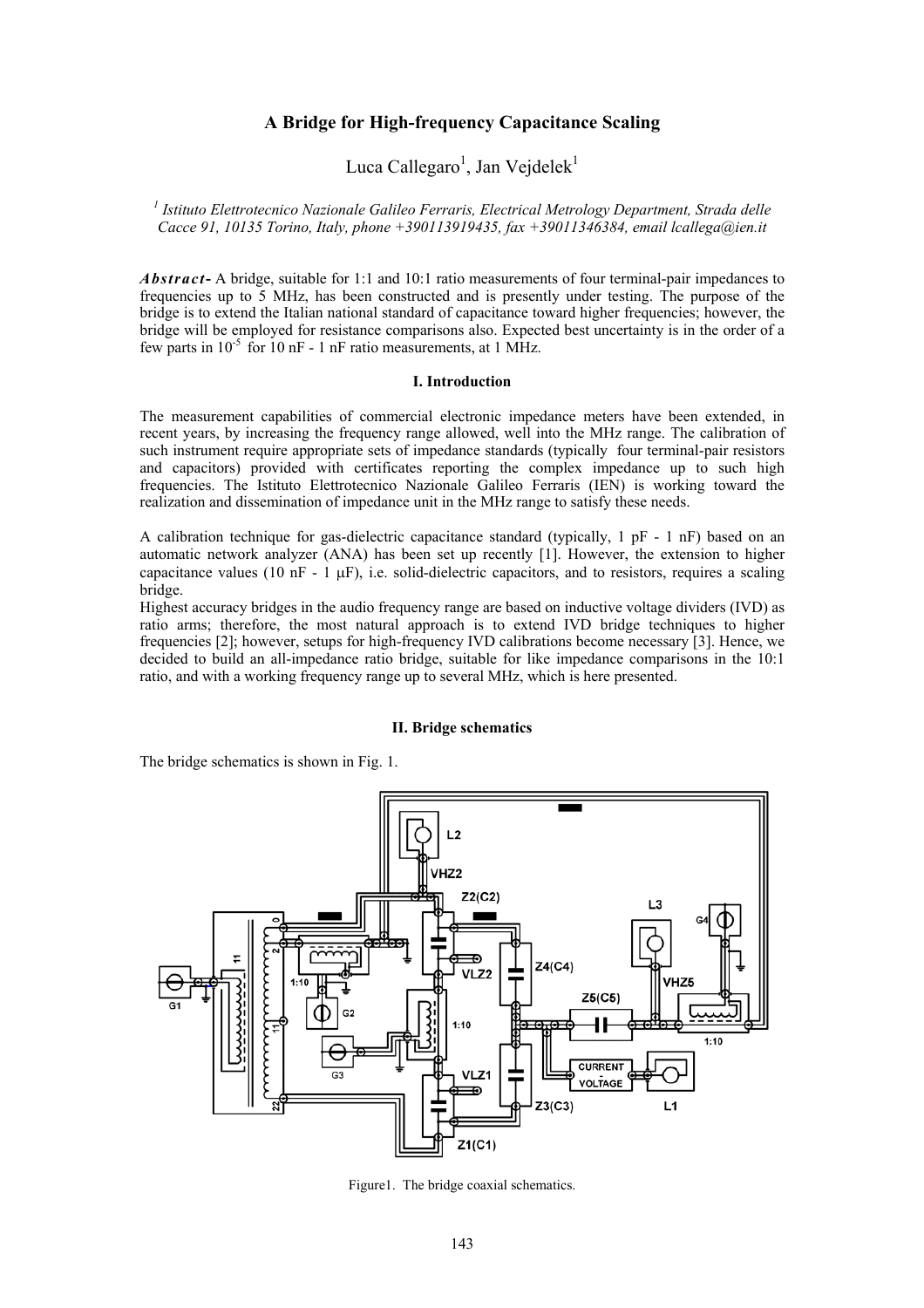# **A Bridge for High-frequency Capacitance Scaling**

# Luca Callegaro<sup>1</sup>, Jan Vejdelek<sup>1</sup>

*1 Istituto Elettrotecnico Nazionale Galileo Ferraris, Electrical Metrology Department, Strada delle Cacce 91, 10135 Torino, Italy, phone +390113919435, fax +39011346384, email lcallega@ien.it* 

*Abstract***-** A bridge, suitable for 1:1 and 10:1 ratio measurements of four terminal-pair impedances to frequencies up to 5 MHz, has been constructed and is presently under testing. The purpose of the bridge is to extend the Italian national standard of capacitance toward higher frequencies; however, the bridge will be employed for resistance comparisons also. Expected best uncertainty is in the order of a few parts in  $10^{-5}$  for 10 nF - 1 nF ratio measurements, at 1 MHz.

#### **I. Introduction**

The measurement capabilities of commercial electronic impedance meters have been extended, in recent years, by increasing the frequency range allowed, well into the MHz range. The calibration of such instrument require appropriate sets of impedance standards (typically four terminal-pair resistors and capacitors) provided with certificates reporting the complex impedance up to such high frequencies. The Istituto Elettrotecnico Nazionale Galileo Ferraris (IEN) is working toward the realization and dissemination of impedance unit in the MHz range to satisfy these needs.

A calibration technique for gas-dielectric capacitance standard (typically,  $1 \text{ pF} - 1 \text{ nF}$ ) based on an automatic network analyzer (ANA) has been set up recently [1]. However, the extension to higher capacitance values (10 nF - 1  $\mu$ F), i.e. solid-dielectric capacitors, and to resistors, requires a scaling bridge.

Highest accuracy bridges in the audio frequency range are based on inductive voltage dividers (IVD) as ratio arms; therefore, the most natural approach is to extend IVD bridge techniques to higher frequencies [2]; however, setups for high-frequency IVD calibrations become necessary [3]. Hence, we decided to build an all-impedance ratio bridge, suitable for like impedance comparisons in the 10:1 ratio, and with a working frequency range up to several MHz, which is here presented.

#### **II. Bridge schematics**

The bridge schematics is shown in Fig. 1.



Figure1. The bridge coaxial schematics.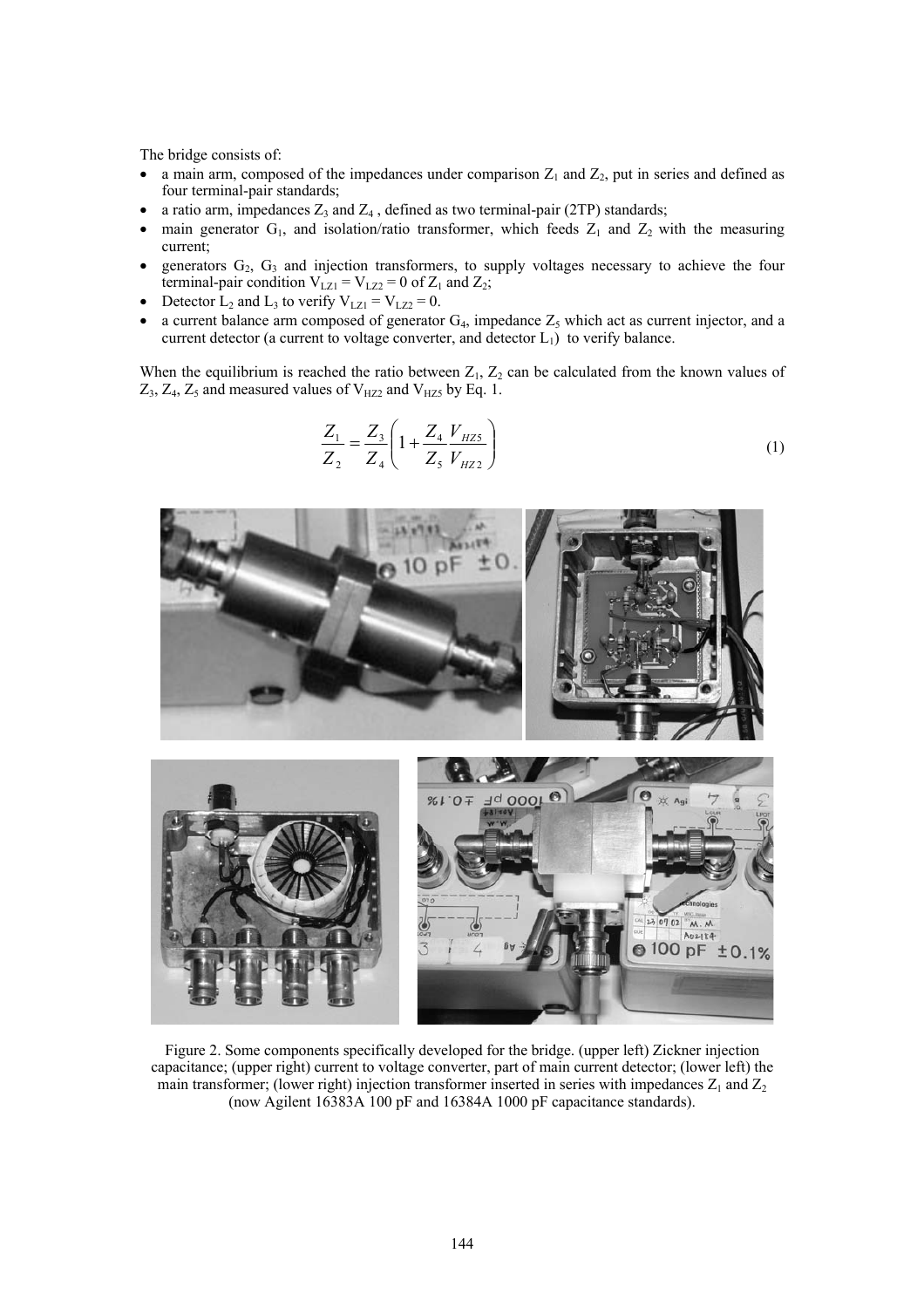The bridge consists of:

- a main arm, composed of the impedances under comparison  $Z_1$  and  $Z_2$ , put in series and defined as four terminal-pair standards;
- a ratio arm, impedances  $Z_3$  and  $Z_4$ , defined as two terminal-pair (2TP) standards;
- main generator  $G_1$ , and isolation/ratio transformer, which feeds  $Z_1$  and  $Z_2$  with the measuring current;
- generators  $G_2$ ,  $G_3$  and injection transformers, to supply voltages necessary to achieve the four terminal-pair condition  $V_{LZ1} = V_{LZ2} = 0$  of  $Z_1$  and  $Z_2$ ;
- Detector  $L_2$  and  $L_3$  to verify  $V_{LZ1} = V_{LZ2} = 0$ .
- a current balance arm composed of generator  $G_4$ , impedance  $Z_5$  which act as current injector, and a current detector (a current to voltage converter, and detector  $L_1$ ) to verify balance.

When the equilibrium is reached the ratio between  $Z_1$ ,  $Z_2$  can be calculated from the known values of  $Z_3$ ,  $Z_4$ ,  $Z_5$  and measured values of  $V_{HZ2}$  and  $V_{HZ5}$  by Eq. 1.

$$
\frac{Z_1}{Z_2} = \frac{Z_3}{Z_4} \left( 1 + \frac{Z_4}{Z_5} \frac{V_{HZ5}}{V_{HZ2}} \right)
$$
(1)



Figure 2. Some components specifically developed for the bridge. (upper left) Zickner injection capacitance; (upper right) current to voltage converter, part of main current detector; (lower left) the main transformer; (lower right) injection transformer inserted in series with impedances  $Z_1$  and  $Z_2$ (now Agilent 16383A 100 pF and 16384A 1000 pF capacitance standards).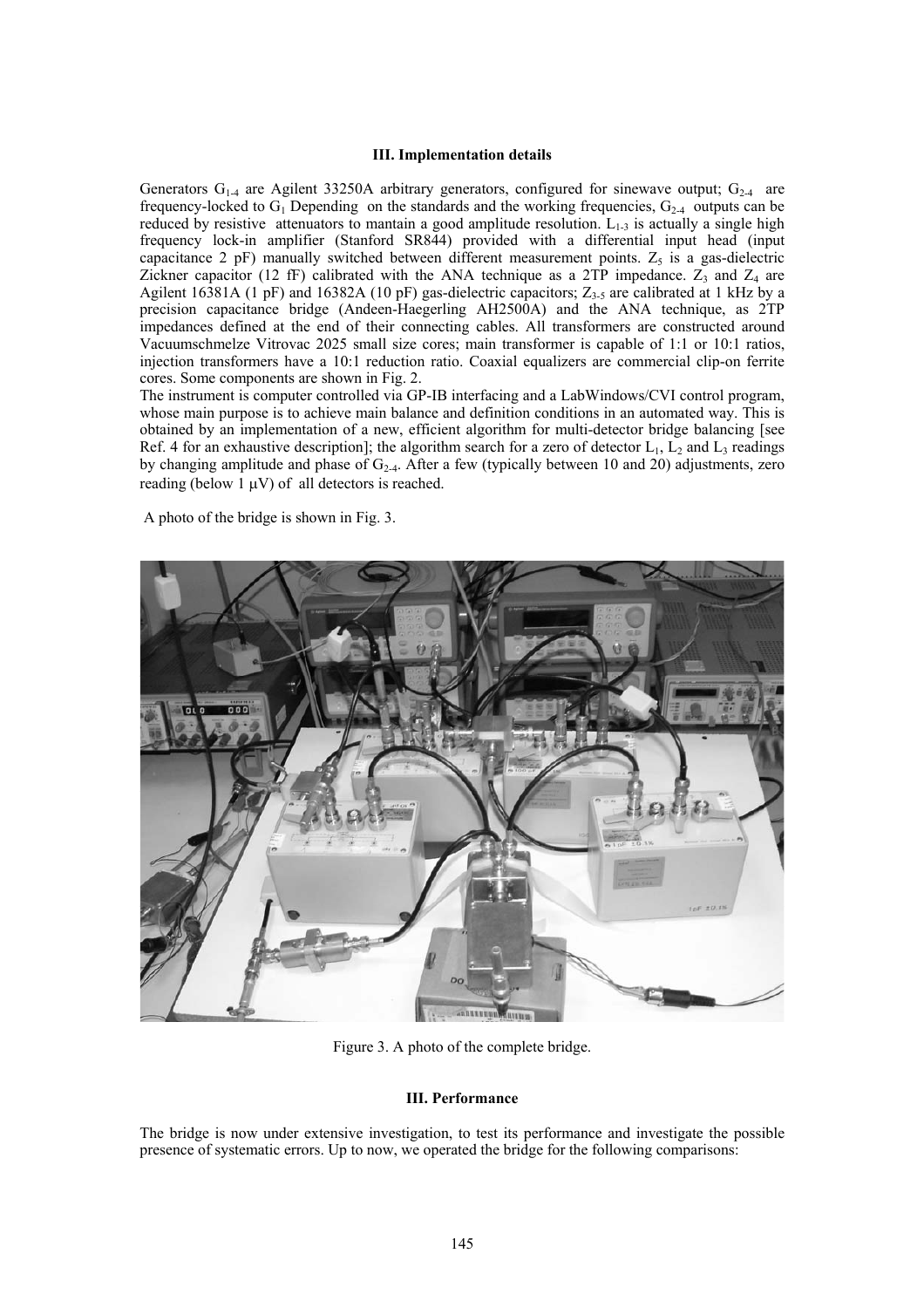### **III. Implementation details**

Generators  $G_{1-4}$  are Agilent 33250A arbitrary generators, configured for sinewave output;  $G_{2-4}$  are frequency-locked to  $G_1$  Depending on the standards and the working frequencies,  $G_{2-4}$  outputs can be reduced by resistive attenuators to mantain a good amplitude resolution.  $L_{1-3}$  is actually a single high frequency lock-in amplifier (Stanford SR844) provided with a differential input head (input capacitance 2 pF) manually switched between different measurement points.  $Z_5$  is a gas-dielectric Zickner capacitor (12 fF) calibrated with the ANA technique as a 2TP impedance.  $Z_3$  and  $Z_4$  are Agilent 16381A (1 pF) and 16382A (10 pF) gas-dielectric capacitors;  $Z_{3-5}$  are calibrated at 1 kHz by a precision capacitance bridge (Andeen-Haegerling AH2500A) and the ANA technique, as 2TP impedances defined at the end of their connecting cables. All transformers are constructed around Vacuumschmelze Vitrovac 2025 small size cores; main transformer is capable of 1:1 or 10:1 ratios, injection transformers have a 10:1 reduction ratio. Coaxial equalizers are commercial clip-on ferrite cores. Some components are shown in Fig. 2.

The instrument is computer controlled via GP-IB interfacing and a LabWindows/CVI control program, whose main purpose is to achieve main balance and definition conditions in an automated way. This is obtained by an implementation of a new, efficient algorithm for multi-detector bridge balancing [see Ref. 4 for an exhaustive description]; the algorithm search for a zero of detector  $L_1$ ,  $L_2$  and  $L_3$  readings by changing amplitude and phase of  $G_{2-4}$ . After a few (typically between 10 and 20) adjustments, zero reading (below 1  $\mu$ V) of all detectors is reached.

A photo of the bridge is shown in Fig. 3.



Figure 3. A photo of the complete bridge.

## **III. Performance**

The bridge is now under extensive investigation, to test its performance and investigate the possible presence of systematic errors. Up to now, we operated the bridge for the following comparisons: